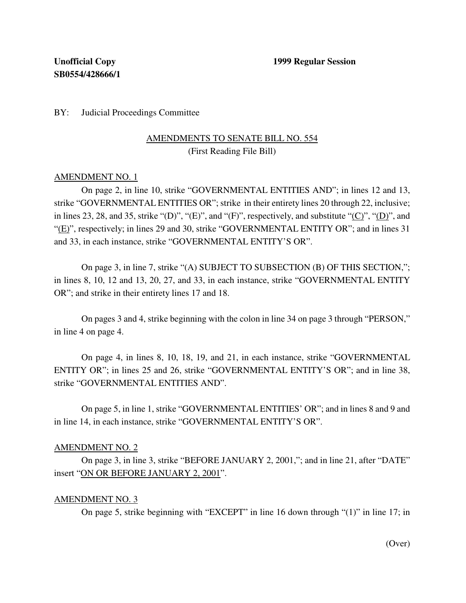BY: Judicial Proceedings Committee

# AMENDMENTS TO SENATE BILL NO. 554 (First Reading File Bill)

### AMENDMENT NO. 1

On page 2, in line 10, strike "GOVERNMENTAL ENTITIES AND"; in lines 12 and 13, strike "GOVERNMENTAL ENTITIES OR"; strike in their entirety lines 20 through 22, inclusive; in lines 23, 28, and 35, strike "(D)", "(E)", and "(F)", respectively, and substitute " $(C)$ ", " $(D)$ ", and "(E)", respectively; in lines 29 and 30, strike "GOVERNMENTAL ENTITY OR"; and in lines 31 and 33, in each instance, strike "GOVERNMENTAL ENTITY'S OR".

On page 3, in line 7, strike "(A) SUBJECT TO SUBSECTION (B) OF THIS SECTION,"; in lines 8, 10, 12 and 13, 20, 27, and 33, in each instance, strike "GOVERNMENTAL ENTITY OR"; and strike in their entirety lines 17 and 18.

On pages 3 and 4, strike beginning with the colon in line 34 on page 3 through "PERSON," in line 4 on page 4.

On page 4, in lines 8, 10, 18, 19, and 21, in each instance, strike "GOVERNMENTAL ENTITY OR"; in lines 25 and 26, strike "GOVERNMENTAL ENTITY'S OR"; and in line 38, strike "GOVERNMENTAL ENTITIES AND".

On page 5, in line 1, strike "GOVERNMENTAL ENTITIES' OR"; and in lines 8 and 9 and in line 14, in each instance, strike "GOVERNMENTAL ENTITY'S OR".

#### AMENDMENT NO. 2

On page 3, in line 3, strike "BEFORE JANUARY 2, 2001,"; and in line 21, after "DATE" insert "ON OR BEFORE JANUARY 2, 2001".

#### AMENDMENT NO. 3

On page 5, strike beginning with "EXCEPT" in line 16 down through "(1)" in line 17; in